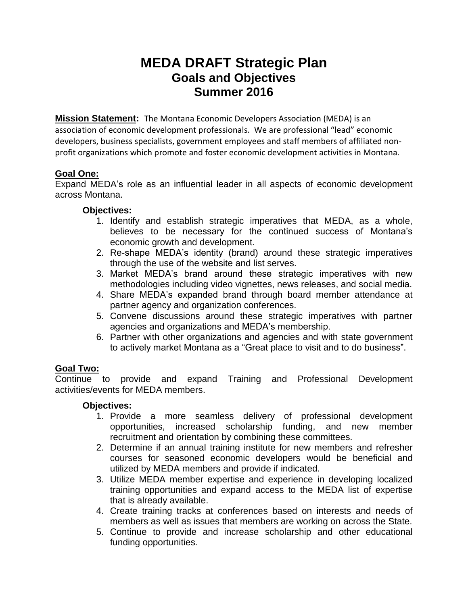# **MEDA DRAFT Strategic Plan Goals and Objectives Summer 2016**

**Mission Statement:** The Montana Economic Developers Association (MEDA) is an association of economic development professionals. We are professional "lead" economic developers, business specialists, government employees and staff members of affiliated nonprofit organizations which promote and foster economic development activities in Montana.

## **Goal One:**

Expand MEDA's role as an influential leader in all aspects of economic development across Montana.

#### **Objectives:**

- 1. Identify and establish strategic imperatives that MEDA, as a whole, believes to be necessary for the continued success of Montana's economic growth and development.
- 2. Re-shape MEDA's identity (brand) around these strategic imperatives through the use of the website and list serves.
- 3. Market MEDA's brand around these strategic imperatives with new methodologies including video vignettes, news releases, and social media.
- 4. Share MEDA's expanded brand through board member attendance at partner agency and organization conferences.
- 5. Convene discussions around these strategic imperatives with partner agencies and organizations and MEDA's membership.
- 6. Partner with other organizations and agencies and with state government to actively market Montana as a "Great place to visit and to do business".

# **Goal Two:**

Continue to provide and expand Training and Professional Development activities/events for MEDA members.

#### **Objectives:**

- 1. Provide a more seamless delivery of professional development opportunities, increased scholarship funding, and new member recruitment and orientation by combining these committees.
- 2. Determine if an annual training institute for new members and refresher courses for seasoned economic developers would be beneficial and utilized by MEDA members and provide if indicated.
- 3. Utilize MEDA member expertise and experience in developing localized training opportunities and expand access to the MEDA list of expertise that is already available.
- 4. Create training tracks at conferences based on interests and needs of members as well as issues that members are working on across the State.
- 5. Continue to provide and increase scholarship and other educational funding opportunities.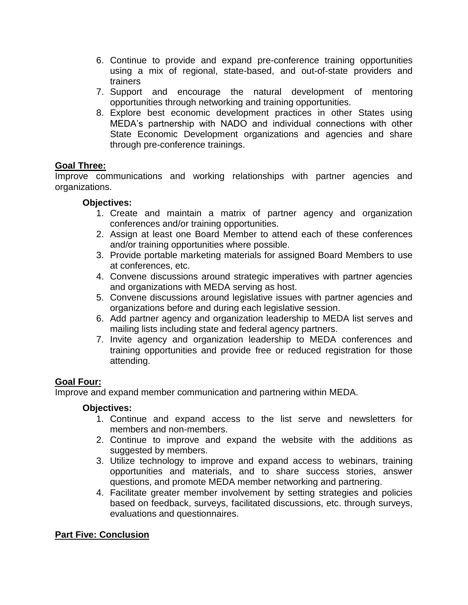- 6. Continue to provide and expand pre-conference training opportunities using a mix of regional, state-based, and out-of-state providers and trainers
- 7. Support and encourage the natural development of mentoring opportunities through networking and training opportunities.
- 8. Explore best economic development practices in other States using MEDA's partnership with NADO and individual connections with other State Economic Development organizations and agencies and share through pre-conference trainings.

## **Goal Three:**

Improve communications and working relationships with partner agencies and organizations.

## **Objectives:**

- 1. Create and maintain a matrix of partner agency and organization conferences and/or training opportunities.
- 2. Assign at least one Board Member to attend each of these conferences and/or training opportunities where possible.
- 3. Provide portable marketing materials for assigned Board Members to use at conferences, etc.
- 4. Convene discussions around strategic imperatives with partner agencies and organizations with MEDA serving as host.
- 5. Convene discussions around legislative issues with partner agencies and organizations before and during each legislative session.
- 6. Add partner agency and organization leadership to MEDA list serves and mailing lists including state and federal agency partners.
- 7. Invite agency and organization leadership to MEDA conferences and training opportunities and provide free or reduced registration for those attending.

# **Goal Four:**

Improve and expand member communication and partnering within MEDA.

#### **Objectives:**

- 1. Continue and expand access to the list serve and newsletters for members and non-members.
- 2. Continue to improve and expand the website with the additions as suggested by members.
- 3. Utilize technology to improve and expand access to webinars, training opportunities and materials, and to share success stories, answer questions, and promote MEDA member networking and partnering.
- 4. Facilitate greater member involvement by setting strategies and policies based on feedback, surveys, facilitated discussions, etc. through surveys, evaluations and questionnaires.

# **Part Five: Conclusion**